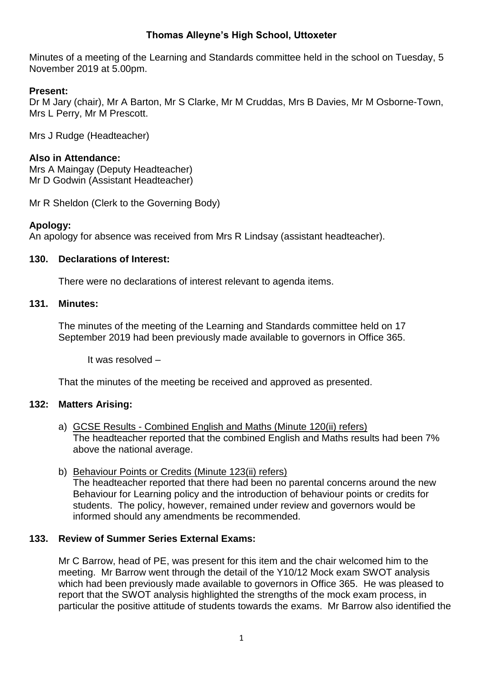## **Thomas Alleyne's High School, Uttoxeter**

Minutes of a meeting of the Learning and Standards committee held in the school on Tuesday, 5 November 2019 at 5.00pm.

#### **Present:**

Dr M Jary (chair), Mr A Barton, Mr S Clarke, Mr M Cruddas, Mrs B Davies, Mr M Osborne-Town, Mrs L Perry, Mr M Prescott.

Mrs J Rudge (Headteacher)

### **Also in Attendance:**

Mrs A Maingay (Deputy Headteacher) Mr D Godwin (Assistant Headteacher)

Mr R Sheldon (Clerk to the Governing Body)

## **Apology:**

An apology for absence was received from Mrs R Lindsay (assistant headteacher).

#### **130. Declarations of Interest:**

There were no declarations of interest relevant to agenda items.

#### **131. Minutes:**

The minutes of the meeting of the Learning and Standards committee held on 17 September 2019 had been previously made available to governors in Office 365.

It was resolved –

That the minutes of the meeting be received and approved as presented.

#### **132: Matters Arising:**

- a) GCSE Results Combined English and Maths (Minute 120(ii) refers) The headteacher reported that the combined English and Maths results had been 7% above the national average.
- b) Behaviour Points or Credits (Minute 123(ii) refers) The headteacher reported that there had been no parental concerns around the new Behaviour for Learning policy and the introduction of behaviour points or credits for students. The policy, however, remained under review and governors would be informed should any amendments be recommended.

### **133. Review of Summer Series External Exams:**

Mr C Barrow, head of PE, was present for this item and the chair welcomed him to the meeting. Mr Barrow went through the detail of the Y10/12 Mock exam SWOT analysis which had been previously made available to governors in Office 365. He was pleased to report that the SWOT analysis highlighted the strengths of the mock exam process, in particular the positive attitude of students towards the exams. Mr Barrow also identified the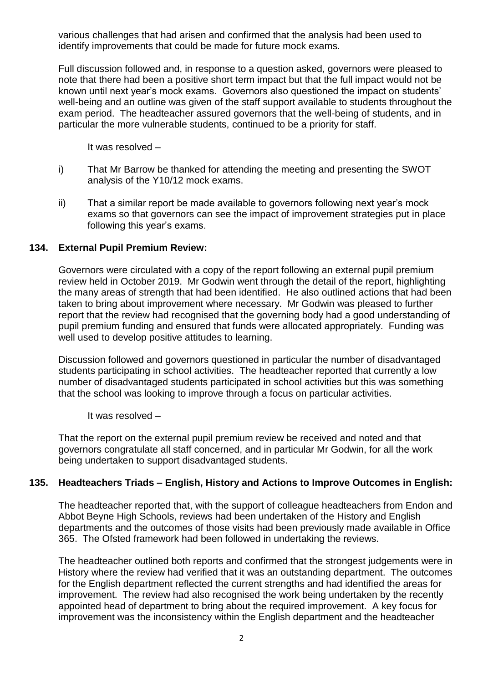various challenges that had arisen and confirmed that the analysis had been used to identify improvements that could be made for future mock exams.

Full discussion followed and, in response to a question asked, governors were pleased to note that there had been a positive short term impact but that the full impact would not be known until next year's mock exams. Governors also questioned the impact on students' well-being and an outline was given of the staff support available to students throughout the exam period. The headteacher assured governors that the well-being of students, and in particular the more vulnerable students, continued to be a priority for staff.

It was resolved –

- i) That Mr Barrow be thanked for attending the meeting and presenting the SWOT analysis of the Y10/12 mock exams.
- ii) That a similar report be made available to governors following next year's mock exams so that governors can see the impact of improvement strategies put in place following this year's exams.

#### **134. External Pupil Premium Review:**

Governors were circulated with a copy of the report following an external pupil premium review held in October 2019. Mr Godwin went through the detail of the report, highlighting the many areas of strength that had been identified. He also outlined actions that had been taken to bring about improvement where necessary. Mr Godwin was pleased to further report that the review had recognised that the governing body had a good understanding of pupil premium funding and ensured that funds were allocated appropriately. Funding was well used to develop positive attitudes to learning.

Discussion followed and governors questioned in particular the number of disadvantaged students participating in school activities. The headteacher reported that currently a low number of disadvantaged students participated in school activities but this was something that the school was looking to improve through a focus on particular activities.

It was resolved –

That the report on the external pupil premium review be received and noted and that governors congratulate all staff concerned, and in particular Mr Godwin, for all the work being undertaken to support disadvantaged students.

#### **135. Headteachers Triads – English, History and Actions to Improve Outcomes in English:**

The headteacher reported that, with the support of colleague headteachers from Endon and Abbot Beyne High Schools, reviews had been undertaken of the History and English departments and the outcomes of those visits had been previously made available in Office 365. The Ofsted framework had been followed in undertaking the reviews.

The headteacher outlined both reports and confirmed that the strongest judgements were in History where the review had verified that it was an outstanding department. The outcomes for the English department reflected the current strengths and had identified the areas for improvement. The review had also recognised the work being undertaken by the recently appointed head of department to bring about the required improvement. A key focus for improvement was the inconsistency within the English department and the headteacher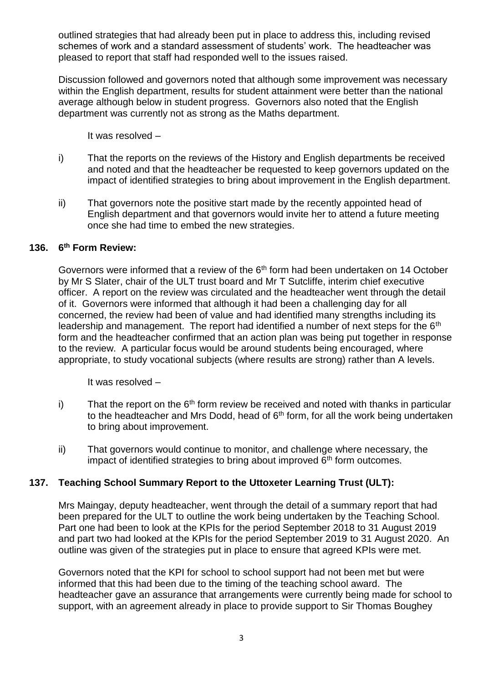outlined strategies that had already been put in place to address this, including revised schemes of work and a standard assessment of students' work. The headteacher was pleased to report that staff had responded well to the issues raised.

Discussion followed and governors noted that although some improvement was necessary within the English department, results for student attainment were better than the national average although below in student progress. Governors also noted that the English department was currently not as strong as the Maths department.

It was resolved –

- i) That the reports on the reviews of the History and English departments be received and noted and that the headteacher be requested to keep governors updated on the impact of identified strategies to bring about improvement in the English department.
- ii) That governors note the positive start made by the recently appointed head of English department and that governors would invite her to attend a future meeting once she had time to embed the new strategies.

#### **136. 6 th Form Review:**

Governors were informed that a review of the 6<sup>th</sup> form had been undertaken on 14 October by Mr S Slater, chair of the ULT trust board and Mr T Sutcliffe, interim chief executive officer. A report on the review was circulated and the headteacher went through the detail of it. Governors were informed that although it had been a challenging day for all concerned, the review had been of value and had identified many strengths including its leadership and management. The report had identified a number of next steps for the 6<sup>th</sup> form and the headteacher confirmed that an action plan was being put together in response to the review. A particular focus would be around students being encouraged, where appropriate, to study vocational subjects (where results are strong) rather than A levels.

It was resolved –

- i) That the report on the  $6<sup>th</sup>$  form review be received and noted with thanks in particular to the headteacher and Mrs Dodd, head of  $6<sup>th</sup>$  form, for all the work being undertaken to bring about improvement.
- ii) That governors would continue to monitor, and challenge where necessary, the impact of identified strategies to bring about improved  $6<sup>th</sup>$  form outcomes.

#### **137. Teaching School Summary Report to the Uttoxeter Learning Trust (ULT):**

Mrs Maingay, deputy headteacher, went through the detail of a summary report that had been prepared for the ULT to outline the work being undertaken by the Teaching School. Part one had been to look at the KPIs for the period September 2018 to 31 August 2019 and part two had looked at the KPIs for the period September 2019 to 31 August 2020. An outline was given of the strategies put in place to ensure that agreed KPIs were met.

Governors noted that the KPI for school to school support had not been met but were informed that this had been due to the timing of the teaching school award. The headteacher gave an assurance that arrangements were currently being made for school to support, with an agreement already in place to provide support to Sir Thomas Boughey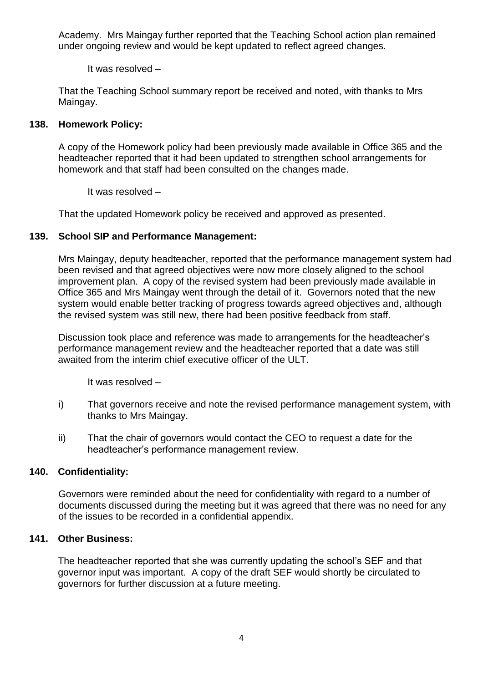Academy. Mrs Maingay further reported that the Teaching School action plan remained under ongoing review and would be kept updated to reflect agreed changes.

It was resolved –

That the Teaching School summary report be received and noted, with thanks to Mrs Maingay.

## **138. Homework Policy:**

A copy of the Homework policy had been previously made available in Office 365 and the headteacher reported that it had been updated to strengthen school arrangements for homework and that staff had been consulted on the changes made.

It was resolved –

That the updated Homework policy be received and approved as presented.

## **139. School SIP and Performance Management:**

Mrs Maingay, deputy headteacher, reported that the performance management system had been revised and that agreed objectives were now more closely aligned to the school improvement plan. A copy of the revised system had been previously made available in Office 365 and Mrs Maingay went through the detail of it. Governors noted that the new system would enable better tracking of progress towards agreed objectives and, although the revised system was still new, there had been positive feedback from staff.

Discussion took place and reference was made to arrangements for the headteacher's performance management review and the headteacher reported that a date was still awaited from the interim chief executive officer of the ULT.

It was resolved –

- i) That governors receive and note the revised performance management system, with thanks to Mrs Maingay.
- ii) That the chair of governors would contact the CEO to request a date for the headteacher's performance management review.

## **140. Confidentiality:**

Governors were reminded about the need for confidentiality with regard to a number of documents discussed during the meeting but it was agreed that there was no need for any of the issues to be recorded in a confidential appendix.

# **141. Other Business:**

The headteacher reported that she was currently updating the school's SEF and that governor input was important. A copy of the draft SEF would shortly be circulated to governors for further discussion at a future meeting.